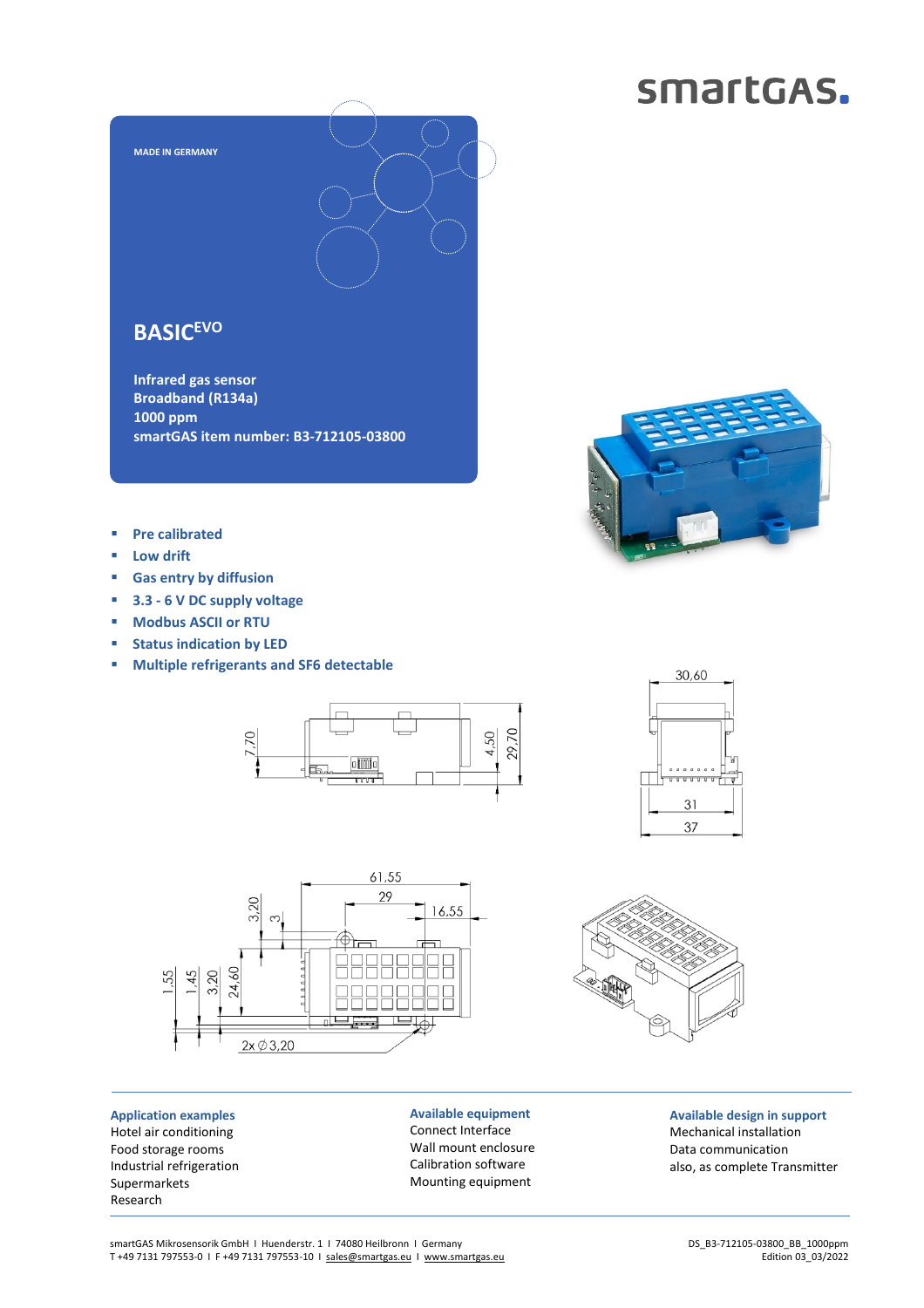### smartGAS.



### **BASICEVO**

**Infrared gas sensor Broadband (R134a) 1000 ppm smartGAS item number: B3-712105-03800**



- **Pre calibrated**
- **Low drift**
- **Gas entry by diffusion**
- **3.3 - 6 V DC supply voltage**
- **Modbus ASCII or RTU**
- **Status indication by LED**
- **Multiple refrigerants and SF6 detectable**







**Application examples** Hotel air conditioning Food storage rooms Industrial refrigeration Supermarkets Research

**Available equipment** Connect Interface Wall mount enclosure Calibration software Mounting equipment

**Available design in support** Mechanical installation Data communication also, as complete Transmitter

smartGAS Mikrosensorik GmbH | Huenderstr. 1 | 74080 Heilbronn | Germany T +49 7131 797553-0 I F +49 7131 797553-10 I [sales@smartgas.eu](mailto:sales@smartgas.eu) I [www.smartgas.eu](http://www.smartgas.eu/)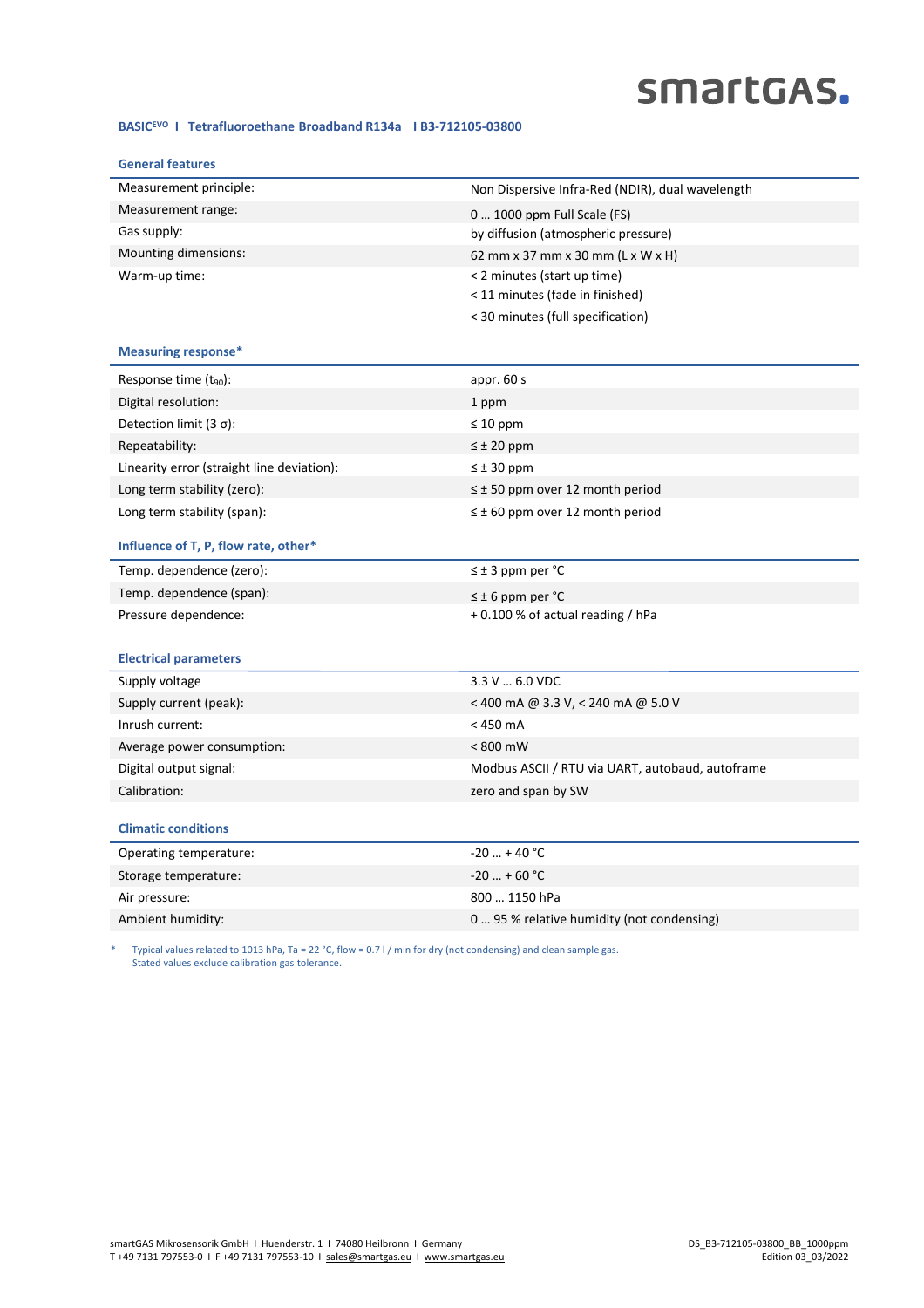# smartGAS.

#### **BASICEVO I Tetrafluoroethane Broadband R134a I B3-712105-03800**

| <b>General features</b>                    |                                                  |
|--------------------------------------------|--------------------------------------------------|
| Measurement principle:                     | Non Dispersive Infra-Red (NDIR), dual wavelength |
| Measurement range:                         | 0  1000 ppm Full Scale (FS)                      |
| Gas supply:                                | by diffusion (atmospheric pressure)              |
| Mounting dimensions:                       | 62 mm x 37 mm x 30 mm (L x W x H)                |
| Warm-up time:                              | < 2 minutes (start up time)                      |
|                                            | < 11 minutes (fade in finished)                  |
|                                            | < 30 minutes (full specification)                |
| <b>Measuring response*</b>                 |                                                  |
| Response time $(t_{90})$ :                 | appr. 60 s                                       |
| Digital resolution:                        | 1 ppm                                            |
| Detection limit $(3 \sigma)$ :             | $\leq 10$ ppm                                    |
| Repeatability:                             | $\leq \pm 20$ ppm                                |
| Linearity error (straight line deviation): | $\leq \pm 30$ ppm                                |
| Long term stability (zero):                | $\leq$ ± 50 ppm over 12 month period             |
| Long term stability (span):                | $\leq \pm 60$ ppm over 12 month period           |
| Influence of T, P, flow rate, other*       |                                                  |
| Temp. dependence (zero):                   | $\leq \pm 3$ ppm per °C                          |
| Temp. dependence (span):                   | $\leq$ ± 6 ppm per °C                            |
| Pressure dependence:                       | +0.100 % of actual reading / hPa                 |
|                                            |                                                  |
| <b>Electrical parameters</b>               |                                                  |
| Supply voltage                             | 3.3 V  6.0 VDC                                   |
| Supply current (peak):                     | < 400 mA @ 3.3 V, < 240 mA @ 5.0 V               |
| Inrush current:                            | $<$ 450 mA                                       |
| Average power consumption:                 | $< 800$ mW                                       |
| Digital output signal:                     | Modbus ASCII / RTU via UART, autobaud, autoframe |
| Calibration:                               | zero and span by SW                              |
|                                            |                                                  |
| <b>Climatic conditions</b>                 |                                                  |
| Operating temperature:                     | $-20$ + 40 °C                                    |
| Storage temperature:                       | $-20$ + 60 °C                                    |
| Air pressure:                              | 800  1150 hPa                                    |
| Ambient humidity:                          | 0 95 % relative humidity (not condensing)        |

\* Typical values related to 1013 hPa, Ta = 22 °C, flow = 0.7 l / min for dry (not condensing) and clean sample gas. Stated values exclude calibration gas tolerance.